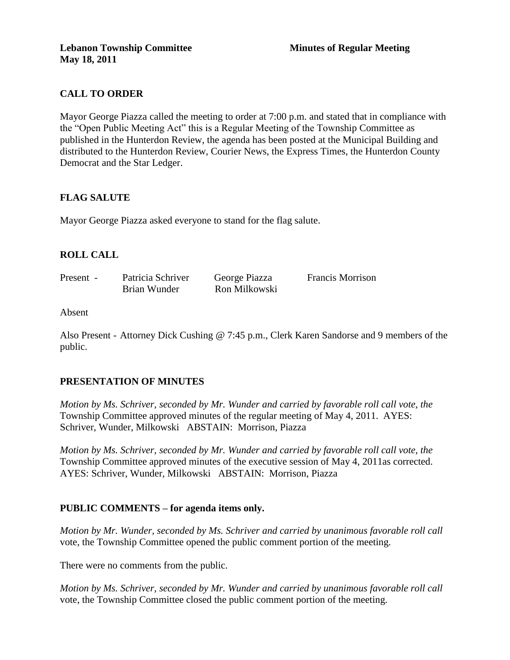# **CALL TO ORDER**

Mayor George Piazza called the meeting to order at 7:00 p.m. and stated that in compliance with the "Open Public Meeting Act" this is a Regular Meeting of the Township Committee as published in the Hunterdon Review, the agenda has been posted at the Municipal Building and distributed to the Hunterdon Review, Courier News, the Express Times, the Hunterdon County Democrat and the Star Ledger.

## **FLAG SALUTE**

Mayor George Piazza asked everyone to stand for the flag salute.

## **ROLL CALL**

| Present - | Patricia Schriver | George Piazza | <b>Francis Morrison</b> |
|-----------|-------------------|---------------|-------------------------|
|           | Brian Wunder      | Ron Milkowski |                         |

#### Absent

Also Present - Attorney Dick Cushing @ 7:45 p.m., Clerk Karen Sandorse and 9 members of the public.

## **PRESENTATION OF MINUTES**

*Motion by Ms. Schriver, seconded by Mr. Wunder and carried by favorable roll call vote, the* Township Committee approved minutes of the regular meeting of May 4, 2011. AYES: Schriver, Wunder, Milkowski ABSTAIN: Morrison, Piazza

*Motion by Ms. Schriver, seconded by Mr. Wunder and carried by favorable roll call vote, the* Township Committee approved minutes of the executive session of May 4, 2011as corrected. AYES: Schriver, Wunder, Milkowski ABSTAIN: Morrison, Piazza

## **PUBLIC COMMENTS – for agenda items only.**

*Motion by Mr. Wunder, seconded by Ms. Schriver and carried by unanimous favorable roll call*  vote, the Township Committee opened the public comment portion of the meeting.

There were no comments from the public.

*Motion by Ms. Schriver, seconded by Mr. Wunder and carried by unanimous favorable roll call*  vote, the Township Committee closed the public comment portion of the meeting.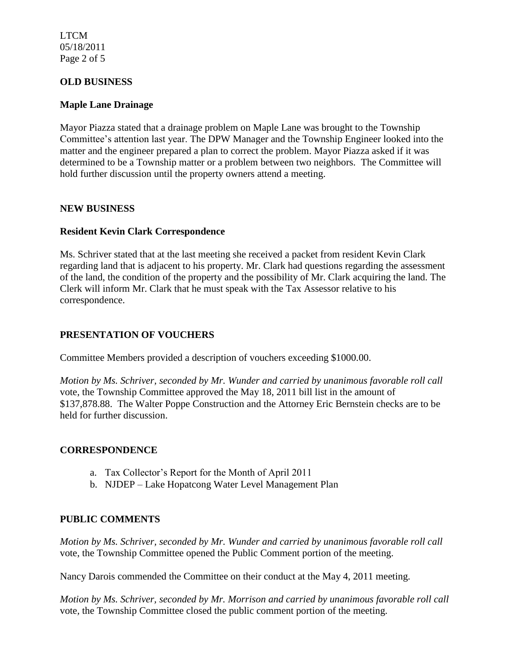LTCM 05/18/2011 Page 2 of 5

#### **OLD BUSINESS**

#### **Maple Lane Drainage**

Mayor Piazza stated that a drainage problem on Maple Lane was brought to the Township Committee's attention last year. The DPW Manager and the Township Engineer looked into the matter and the engineer prepared a plan to correct the problem. Mayor Piazza asked if it was determined to be a Township matter or a problem between two neighbors. The Committee will hold further discussion until the property owners attend a meeting.

#### **NEW BUSINESS**

#### **Resident Kevin Clark Correspondence**

Ms. Schriver stated that at the last meeting she received a packet from resident Kevin Clark regarding land that is adjacent to his property. Mr. Clark had questions regarding the assessment of the land, the condition of the property and the possibility of Mr. Clark acquiring the land. The Clerk will inform Mr. Clark that he must speak with the Tax Assessor relative to his correspondence.

#### **PRESENTATION OF VOUCHERS**

Committee Members provided a description of vouchers exceeding \$1000.00.

*Motion by Ms. Schriver, seconded by Mr. Wunder and carried by unanimous favorable roll call*  vote, the Township Committee approved the May 18, 2011 bill list in the amount of \$137,878.88. The Walter Poppe Construction and the Attorney Eric Bernstein checks are to be held for further discussion.

#### **CORRESPONDENCE**

- a. Tax Collector's Report for the Month of April 2011
- b. NJDEP Lake Hopatcong Water Level Management Plan

#### **PUBLIC COMMENTS**

*Motion by Ms. Schriver, seconded by Mr. Wunder and carried by unanimous favorable roll call*  vote, the Township Committee opened the Public Comment portion of the meeting.

Nancy Darois commended the Committee on their conduct at the May 4, 2011 meeting.

*Motion by Ms. Schriver, seconded by Mr. Morrison and carried by unanimous favorable roll call*  vote*,* the Township Committee closed the public comment portion of the meeting.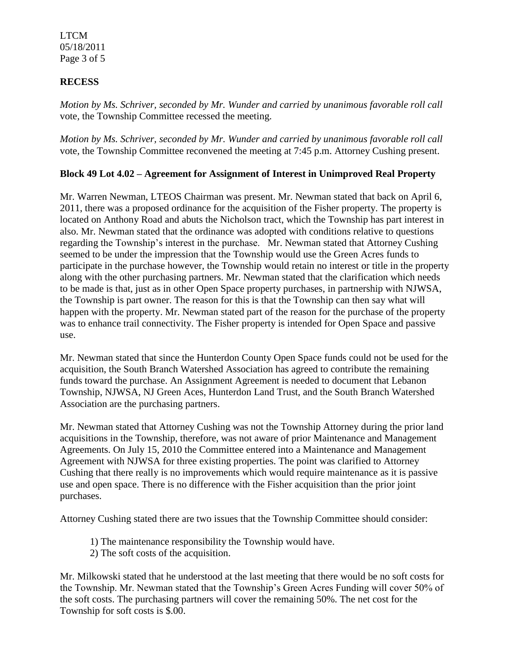LTCM 05/18/2011 Page 3 of 5

### **RECESS**

*Motion by Ms. Schriver, seconded by Mr. Wunder and carried by unanimous favorable roll call*  vote*,* the Township Committee recessed the meeting.

*Motion by Ms. Schriver, seconded by Mr. Wunder and carried by unanimous favorable roll call*  vote*,* the Township Committee reconvened the meeting at 7:45 p.m. Attorney Cushing present.

## **Block 49 Lot 4.02 – Agreement for Assignment of Interest in Unimproved Real Property**

Mr. Warren Newman, LTEOS Chairman was present. Mr. Newman stated that back on April 6, 2011, there was a proposed ordinance for the acquisition of the Fisher property. The property is located on Anthony Road and abuts the Nicholson tract, which the Township has part interest in also. Mr. Newman stated that the ordinance was adopted with conditions relative to questions regarding the Township's interest in the purchase. Mr. Newman stated that Attorney Cushing seemed to be under the impression that the Township would use the Green Acres funds to participate in the purchase however, the Township would retain no interest or title in the property along with the other purchasing partners. Mr. Newman stated that the clarification which needs to be made is that, just as in other Open Space property purchases, in partnership with NJWSA, the Township is part owner. The reason for this is that the Township can then say what will happen with the property. Mr. Newman stated part of the reason for the purchase of the property was to enhance trail connectivity. The Fisher property is intended for Open Space and passive use.

Mr. Newman stated that since the Hunterdon County Open Space funds could not be used for the acquisition, the South Branch Watershed Association has agreed to contribute the remaining funds toward the purchase. An Assignment Agreement is needed to document that Lebanon Township, NJWSA, NJ Green Aces, Hunterdon Land Trust, and the South Branch Watershed Association are the purchasing partners.

Mr. Newman stated that Attorney Cushing was not the Township Attorney during the prior land acquisitions in the Township, therefore, was not aware of prior Maintenance and Management Agreements. On July 15, 2010 the Committee entered into a Maintenance and Management Agreement with NJWSA for three existing properties. The point was clarified to Attorney Cushing that there really is no improvements which would require maintenance as it is passive use and open space. There is no difference with the Fisher acquisition than the prior joint purchases.

Attorney Cushing stated there are two issues that the Township Committee should consider:

- 1) The maintenance responsibility the Township would have.
- 2) The soft costs of the acquisition.

Mr. Milkowski stated that he understood at the last meeting that there would be no soft costs for the Township. Mr. Newman stated that the Township's Green Acres Funding will cover 50% of the soft costs. The purchasing partners will cover the remaining 50%. The net cost for the Township for soft costs is \$.00.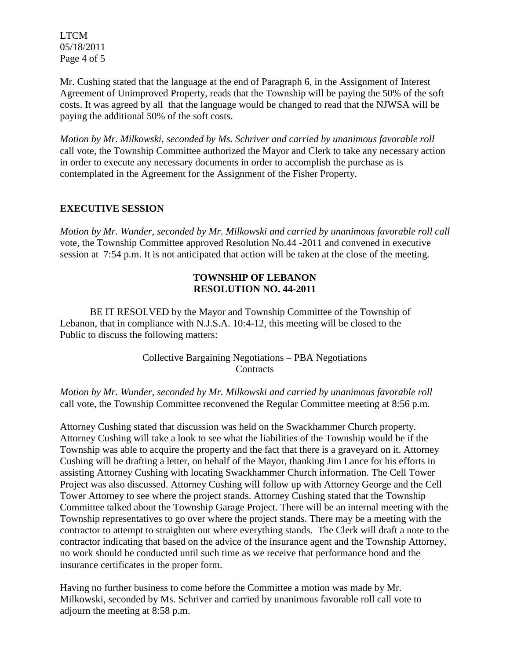LTCM 05/18/2011 Page 4 of 5

Mr. Cushing stated that the language at the end of Paragraph 6, in the Assignment of Interest Agreement of Unimproved Property, reads that the Township will be paying the 50% of the soft costs. It was agreed by all that the language would be changed to read that the NJWSA will be paying the additional 50% of the soft costs.

*Motion by Mr. Milkowski, seconded by Ms. Schriver and carried by unanimous favorable roll*  call vote, the Township Committee authorized the Mayor and Clerk to take any necessary action in order to execute any necessary documents in order to accomplish the purchase as is contemplated in the Agreement for the Assignment of the Fisher Property.

## **EXECUTIVE SESSION**

*Motion by Mr. Wunder, seconded by Mr. Milkowski and carried by unanimous favorable roll call*  vote, the Township Committee approved Resolution No.44 -2011 and convened in executive session at 7:54 p.m. It is not anticipated that action will be taken at the close of the meeting.

## **TOWNSHIP OF LEBANON RESOLUTION NO. 44-2011**

BE IT RESOLVED by the Mayor and Township Committee of the Township of Lebanon, that in compliance with N.J.S.A. 10:4-12, this meeting will be closed to the Public to discuss the following matters:

> Collective Bargaining Negotiations – PBA Negotiations **Contracts**

*Motion by Mr. Wunder, seconded by Mr. Milkowski and carried by unanimous favorable roll*  call vote, the Township Committee reconvened the Regular Committee meeting at 8:56 p.m.

Attorney Cushing stated that discussion was held on the Swackhammer Church property. Attorney Cushing will take a look to see what the liabilities of the Township would be if the Township was able to acquire the property and the fact that there is a graveyard on it. Attorney Cushing will be drafting a letter, on behalf of the Mayor, thanking Jim Lance for his efforts in assisting Attorney Cushing with locating Swackhammer Church information. The Cell Tower Project was also discussed. Attorney Cushing will follow up with Attorney George and the Cell Tower Attorney to see where the project stands. Attorney Cushing stated that the Township Committee talked about the Township Garage Project. There will be an internal meeting with the Township representatives to go over where the project stands. There may be a meeting with the contractor to attempt to straighten out where everything stands. The Clerk will draft a note to the contractor indicating that based on the advice of the insurance agent and the Township Attorney, no work should be conducted until such time as we receive that performance bond and the insurance certificates in the proper form.

Having no further business to come before the Committee a motion was made by Mr. Milkowski, seconded by Ms. Schriver and carried by unanimous favorable roll call vote to adjourn the meeting at 8:58 p.m.